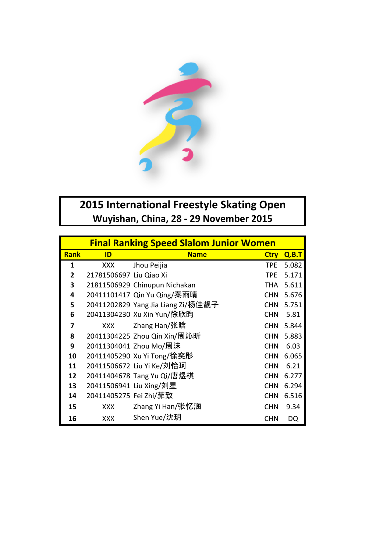

## **2015 International Freestyle Skating Open** Wuyishan, China, 28 - 29 November 2015

|                | <b>Final Ranking Speed Slalom Junior Women</b> |                                    |             |       |  |  |
|----------------|------------------------------------------------|------------------------------------|-------------|-------|--|--|
| <b>Rank</b>    | ID                                             | <b>Name</b>                        | <b>Ctry</b> | Q.B.T |  |  |
| 1              | <b>XXX</b>                                     | Jhou Peijia                        | TPE.        | 5.082 |  |  |
| $\overline{2}$ | 21781506697 Liu Qiao Xi                        |                                    | <b>TPE</b>  | 5.171 |  |  |
| 3              |                                                | 21811506929 Chinupun Nichakan      | THA         | 5.611 |  |  |
| 4              |                                                | 20411101417 Qin Yu Qing/秦雨晴        | <b>CHN</b>  | 5.676 |  |  |
| 5              |                                                | 20411202829 Yang Jia Liang Zi/杨佳靓子 | <b>CHN</b>  | 5.751 |  |  |
| 6              |                                                | 20411304230 Xu Xin Yun/徐欣昀         | <b>CHN</b>  | 5.81  |  |  |
| 7              | <b>XXX</b>                                     | Zhang Han/张晗                       | <b>CHN</b>  | 5.844 |  |  |
| 8              |                                                | 20411304225 Zhou Qin Xin/周沁昕       | <b>CHN</b>  | 5.883 |  |  |
| 9              |                                                | 20411304041 Zhou Mo/周沫             | <b>CHN</b>  | 6.03  |  |  |
| 10             |                                                | 20411405290 Xu Yi Tong/徐奕彤         | <b>CHN</b>  | 6.065 |  |  |
| 11             |                                                | 20411506672 Liu Yi Ke/刘怡珂          | <b>CHN</b>  | 6.21  |  |  |
| 12             |                                                | 20411404678 Tang Yu Qi/唐煜棋         | <b>CHN</b>  | 6.277 |  |  |
| 13             | 20411506941 Liu Xing/刘星                        |                                    | <b>CHN</b>  | 6.294 |  |  |
| 14             | 20411405275 Fei Zhi/菲致                         |                                    | <b>CHN</b>  | 6.516 |  |  |
| 15             | <b>XXX</b>                                     | Zhang Yi Han/张忆涵                   | <b>CHN</b>  | 9.34  |  |  |
| 16             | <b>XXX</b>                                     | Shen Yue/沈玥                        | <b>CHN</b>  | DQ    |  |  |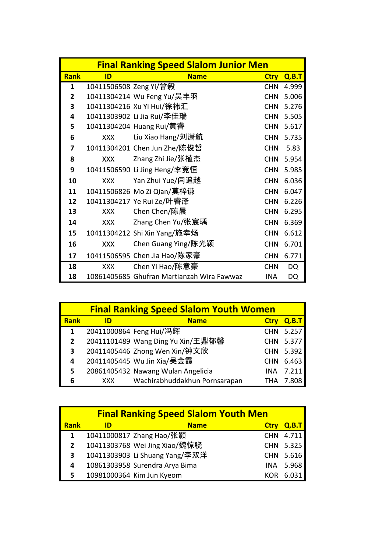|                | <b>Final Ranking Speed Slalom Junior Men</b> |                                            |             |       |  |
|----------------|----------------------------------------------|--------------------------------------------|-------------|-------|--|
| <b>Rank</b>    | ID                                           | <b>Name</b>                                | <b>Ctry</b> | Q.B.T |  |
| 1              | 10411506508 Zeng Yi/曾毅                       |                                            | <b>CHN</b>  | 4.999 |  |
| $\overline{2}$ |                                              | 10411304214 Wu Feng Yu/吴丰羽                 | <b>CHN</b>  | 5.006 |  |
| 3              |                                              | 10411304216 Xu Yi Hui/徐祎汇                  | <b>CHN</b>  | 5.276 |  |
| 4              |                                              | 10411303902 Li Jia Rui/李佳瑞                 | <b>CHN</b>  | 5.505 |  |
| 5              |                                              | 10411304204 Huang Rui/黄睿                   | <b>CHN</b>  | 5.617 |  |
| 6              | <b>XXX</b>                                   | Liu Xiao Hang/刘潇航                          | <b>CHN</b>  | 5.735 |  |
| 7              |                                              | 10411304201 Chen Jun Zhe/陈俊哲               | <b>CHN</b>  | 5.83  |  |
| 8              | <b>XXX</b>                                   | Zhang Zhi Jie/张植杰                          | <b>CHN</b>  | 5.954 |  |
| 9              |                                              | 10411506590 Li Jing Heng/李竞恒               | <b>CHN</b>  | 5.985 |  |
| 10             | <b>XXX</b>                                   | Yan Zhui Yue/闫追越                           | <b>CHN</b>  | 6.036 |  |
| 11             |                                              | 10411506826 Mo Zi Qian/莫梓谦                 | <b>CHN</b>  | 6.047 |  |
| 12             |                                              | 10411304217 Ye Rui Ze/叶睿泽                  | <b>CHN</b>  | 6.226 |  |
| 13             | <b>XXX</b>                                   | Chen Chen/陈晨                               | <b>CHN</b>  | 6.295 |  |
| 14             | <b>XXX</b>                                   | Zhang Chen Yu/张宸瑀                          | <b>CHN</b>  | 6.369 |  |
| 15             |                                              | 10411304212 Shi Xin Yang/施幸场               | <b>CHN</b>  | 6.612 |  |
| 16             | <b>XXX</b>                                   | Chen Guang Ying/陈光颖                        | <b>CHN</b>  | 6.701 |  |
| 17             |                                              | 10411506595 Chen Jia Hao/陈家豪               | <b>CHN</b>  | 6.771 |  |
| 18             | XXX                                          | Chen Yi Hao/陈意豪                            | <b>CHN</b>  | DQ    |  |
| 18             |                                              | 10861405685 Ghufran Martianzah Wira Fawwaz | <b>INA</b>  | DQ    |  |

|             | <b>Final Ranking Speed Slalom Youth Women</b> |                                    |             |       |  |  |
|-------------|-----------------------------------------------|------------------------------------|-------------|-------|--|--|
| <b>Rank</b> | ID                                            | <b>Name</b>                        | <b>Ctrv</b> | Q.B.T |  |  |
| 1           |                                               | 20411000864 Feng Hui/冯辉            | <b>CHN</b>  | 5.257 |  |  |
| 2           |                                               | 20411101489 Wang Ding Yu Xin/王鼎郁馨  | <b>CHN</b>  | 5.377 |  |  |
| 3           |                                               | 20411405446 Zhong Wen Xin/钟文欣      | <b>CHN</b>  | 5.392 |  |  |
| 4           |                                               | 20411405445 Wu Jin Xia/吴金霞         | <b>CHN</b>  | 6.463 |  |  |
| 5           |                                               | 20861405432 Nawang Wulan Angelicia | INA         | 7.211 |  |  |
| 6           | XXX.                                          | Wachirabhuddakhun Pornsarapan      | THA         |       |  |  |

|              |    | <b>Final Ranking Speed Slalom Youth Men</b> |             |       |
|--------------|----|---------------------------------------------|-------------|-------|
| <b>Rank</b>  | ID | <b>Name</b>                                 | <b>Ctrv</b> | Q.B.T |
| 1            |    | 10411000817 Zhang Hao/张颢                    | <b>CHN</b>  | 4.711 |
| $\mathbf{2}$ |    | 10411303768 Wei Jing Xiao/魏惊骁               | <b>CHN</b>  | 5.325 |
| 3            |    | 10411303903 Li Shuang Yang/李双洋              | <b>CHN</b>  | 5.616 |
| 4            |    | 10861303958 Surendra Arya Bima              | INA         | 5.968 |
| 5.           |    | 10981000364 Kim Jun Kyeom                   |             | 6.031 |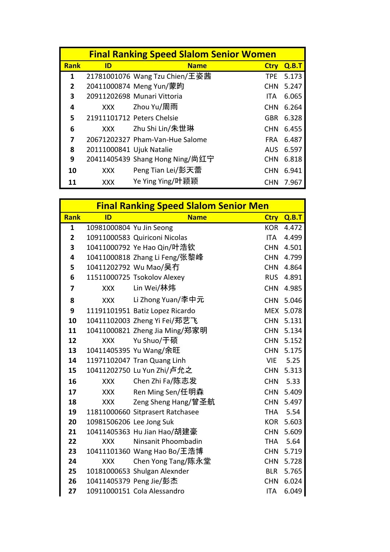|              | <b>Final Ranking Speed Slalom Senior Women</b> |                                 |             |       |  |  |
|--------------|------------------------------------------------|---------------------------------|-------------|-------|--|--|
| <b>Rank</b>  | ID                                             | <b>Name</b>                     | <b>Ctrv</b> | Q.B.T |  |  |
| 1            |                                                | 21781001076 Wang Tzu Chien/王姿茜  | TPE         | 5.173 |  |  |
| $\mathbf{2}$ |                                                | 20411000874 Meng Yun/蒙昀         | <b>CHN</b>  | 5.247 |  |  |
| 3            |                                                | 20911202698 Munari Vittoria     | ITA.        | 6.065 |  |  |
| 4            | XXX                                            | Zhou Yu/周雨                      | <b>CHN</b>  | 6.264 |  |  |
| 5            |                                                | 21911101712 Peters Chelsie      | <b>GBR</b>  | 6.328 |  |  |
| 6            | XXX                                            | Zhu Shi Lin/朱世琳                 | <b>CHN</b>  | 6.455 |  |  |
| 7            |                                                | 20671202327 Pham-Van-Hue Salome | <b>FRA</b>  | 6.487 |  |  |
| 8            | 20111000841 Ujuk Natalie                       |                                 | AUS.        | 6.597 |  |  |
| 9            |                                                | 20411405439 Shang Hong Ning/尚红宁 | <b>CHN</b>  | 6.818 |  |  |
| 10           | XXX                                            | Peng Tian Lei/彭天蕾               | <b>CHN</b>  | 6.941 |  |  |
|              | <b>XXX</b>                                     | Ye Ying Ying/叶颖颖                | <b>CHN</b>  | 7.967 |  |  |

|                         |                          |                                  | <b>Final Ranking Speed Slalom Senior Men</b> |       |  |  |  |
|-------------------------|--------------------------|----------------------------------|----------------------------------------------|-------|--|--|--|
| Rank                    | ID                       | <b>Name</b>                      | <b>Ctry</b>                                  | Q.B.T |  |  |  |
| 1                       | 10981000804 Yu Jin Seong |                                  | <b>KOR</b>                                   | 4.472 |  |  |  |
| $\overline{2}$          |                          | 10911000583 Quiriconi Nicolas    | ITA                                          | 4.499 |  |  |  |
| 3                       |                          | 10411000792 Ye Hao Qin/叶浩钦       | <b>CHN</b>                                   | 4.501 |  |  |  |
| 4                       |                          | 10411000818 Zhang Li Feng/张黎峰    | <b>CHN</b>                                   | 4.799 |  |  |  |
| 5                       |                          | 10411202792 Wu Mao/吴冇            | <b>CHN</b>                                   | 4.864 |  |  |  |
| 6                       |                          | 11511000725 Tsokolov Alexey      | <b>RUS</b>                                   | 4.891 |  |  |  |
| $\overline{\mathbf{z}}$ | XXX                      | Lin Wei/林炜                       | <b>CHN</b>                                   | 4.985 |  |  |  |
| 8                       | <b>XXX</b>               | Li Zhong Yuan/李中元                | <b>CHN</b>                                   | 5.046 |  |  |  |
| 9                       |                          | 11191101951 Batiz Lopez Ricardo  | <b>MEX</b>                                   | 5.078 |  |  |  |
| 10                      |                          | 10411102003 Zheng Yi Fei/郑艺飞     | <b>CHN</b>                                   | 5.131 |  |  |  |
| 11                      |                          | 10411000821 Zheng Jia Ming/郑家明   | <b>CHN</b>                                   | 5.134 |  |  |  |
| 12                      | <b>XXX</b>               | Yu Shuo/于硕                       | <b>CHN</b>                                   | 5.152 |  |  |  |
| 13                      |                          | 10411405395 Yu Wang/余旺           | <b>CHN</b>                                   | 5.175 |  |  |  |
| 14                      |                          | 11971102047 Tran Quang Linh      | <b>VIE</b>                                   | 5.25  |  |  |  |
| 15                      |                          | 10411202750 Lu Yun Zhi/卢允之       | <b>CHN</b>                                   | 5.313 |  |  |  |
| 16                      | XXX                      | Chen Zhi Fa/陈志发                  | <b>CHN</b>                                   | 5.33  |  |  |  |
| 17                      | <b>XXX</b>               | Ren Ming Sen/任明森                 | <b>CHN</b>                                   | 5.409 |  |  |  |
| 18                      | <b>XXX</b>               | Zeng Sheng Hang/曾圣航              | <b>CHN</b>                                   | 5.497 |  |  |  |
| 19                      |                          | 11811000660 Sitprasert Ratchasee | <b>THA</b>                                   | 5.54  |  |  |  |
| 20                      | 10981506206 Lee Jong Suk |                                  | <b>KOR</b>                                   | 5.603 |  |  |  |
| 21                      |                          | 10411405363 Hu Jian Hao/胡建豪      | <b>CHN</b>                                   | 5.609 |  |  |  |
| 22                      | <b>XXX</b>               | Ninsanit Phoombadin              | <b>THA</b>                                   | 5.64  |  |  |  |
| 23                      |                          | 10411101360 Wang Hao Bo/王浩博      | <b>CHN</b>                                   | 5.719 |  |  |  |
| 24                      | <b>XXX</b>               | Chen Yong Tang/陈永堂               | <b>CHN</b>                                   | 5.728 |  |  |  |
| 25                      |                          | 10181000653 Shulgan Alexnder     | <b>BLR</b>                                   | 5.765 |  |  |  |
| 26                      |                          | 10411405379 Peng Jie/彭杰          | <b>CHN</b>                                   | 6.024 |  |  |  |
| 27                      |                          | 10911000151 Cola Alessandro      | <b>ITA</b>                                   | 6.049 |  |  |  |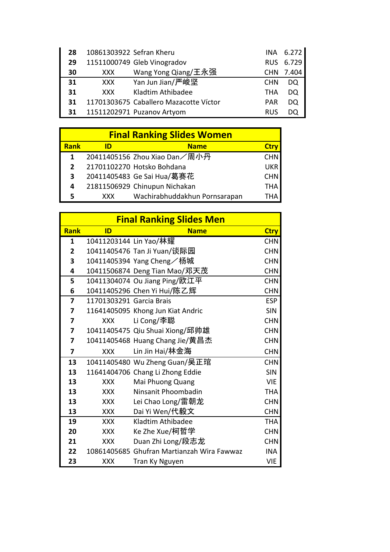| 28 | 10861303922 Sefran Kheru |                                        |            | INA 6.272 |
|----|--------------------------|----------------------------------------|------------|-----------|
| 29 |                          | 11511000749 Gleb Vinogradov            | <b>RUS</b> | 6.729     |
| 30 | <b>XXX</b>               | Wang Yong Qiang/王永强                    | <b>CHN</b> | 7.404     |
| 31 | XXX.                     | Yan Jun Jian/严峻坚                       | <b>CHN</b> | DO.       |
| 31 | <b>XXX</b>               | Kladtim Athibadee                      | THA        | DO.       |
| 31 |                          | 11701303675 Caballero Mazacotte Víctor | PAR        | DO        |
| 31 |                          | 11511202971 Puzanov Artyom             | RUS        | DΟ        |

| <b>Final Ranking Slides Women</b> |      |                               |            |  |
|-----------------------------------|------|-------------------------------|------------|--|
| <b>Rank</b>                       | ID   | <b>Name</b>                   | Ctrv       |  |
| 1                                 |      | 20411405156 Zhou Xiao Dan/周小丹 | <b>CHN</b> |  |
| $\mathbf{2}$                      |      | 21701102270 Hotsko Bohdana    | <b>UKR</b> |  |
| 3                                 |      | 20411405483 Ge Sai Hua/葛赛花    | <b>CHN</b> |  |
| 4                                 |      | 21811506929 Chinupun Nichakan | <b>THA</b> |  |
|                                   | XXX. | Wachirabhuddakhun Pornsarapan | тна        |  |

|                | <b>Final Ranking Slides Men</b> |                                            |             |  |
|----------------|---------------------------------|--------------------------------------------|-------------|--|
| <b>Rank</b>    | ID                              | <b>Name</b>                                | <b>Ctry</b> |  |
| $\mathbf{1}$   | 10411203144 Lin Yao/林耀          |                                            | <b>CHN</b>  |  |
| $\overline{2}$ |                                 | 10411405476 Tan Ji Yuan/谈际园                | <b>CHN</b>  |  |
| 3              |                                 | 10411405394 Yang Cheng/杨城                  | <b>CHN</b>  |  |
| 4              |                                 | 10411506874 Deng Tian Mao/邓天茂              | <b>CHN</b>  |  |
| 5              |                                 | 10411304074 Ou Jiang Ping/欧江平              | <b>CHN</b>  |  |
| 6              |                                 | 10411405296 Chen Yi Hui/陈乙辉                | <b>CHN</b>  |  |
| 7              | 11701303291 Garcia Brais        |                                            | <b>ESP</b>  |  |
| 7              |                                 | 11641405095 Khong Jun Kiat Andric          | <b>SIN</b>  |  |
| 7              | <b>XXX</b>                      | Li Cong/李聪                                 | <b>CHN</b>  |  |
| 7              |                                 | 10411405475 Qiu Shuai Xiong/邱帅雄            | <b>CHN</b>  |  |
| 7              |                                 | 10411405468 Huang Chang Jie/黄昌杰            | <b>CHN</b>  |  |
| 7              | <b>XXX</b>                      | Lin Jin Hai/林金海                            | <b>CHN</b>  |  |
| 13             |                                 | 10411405480 Wu Zheng Guan/吴正琯              | <b>CHN</b>  |  |
| 13             |                                 | 11641404706 Chang Li Zhong Eddie           | <b>SIN</b>  |  |
| 13             | <b>XXX</b>                      | Mai Phuong Quang                           | <b>VIE</b>  |  |
| 13             | <b>XXX</b>                      | Ninsanit Phoombadin                        | <b>THA</b>  |  |
| 13             | <b>XXX</b>                      | Lei Chao Long/雷朝龙                          | <b>CHN</b>  |  |
| 13             | <b>XXX</b>                      | Dai Yi Wen/代毅文                             | <b>CHN</b>  |  |
| 19             | <b>XXX</b>                      | Kladtim Athibadee                          | <b>THA</b>  |  |
| 20             | <b>XXX</b>                      | Ke Zhe Xue/柯哲学                             | <b>CHN</b>  |  |
| 21             | <b>XXX</b>                      | Duan Zhi Long/段志龙                          | <b>CHN</b>  |  |
| 22             |                                 | 10861405685 Ghufran Martianzah Wira Fawwaz | <b>INA</b>  |  |
| 23             | <b>XXX</b>                      | Tran Ky Nguyen                             | <b>VIE</b>  |  |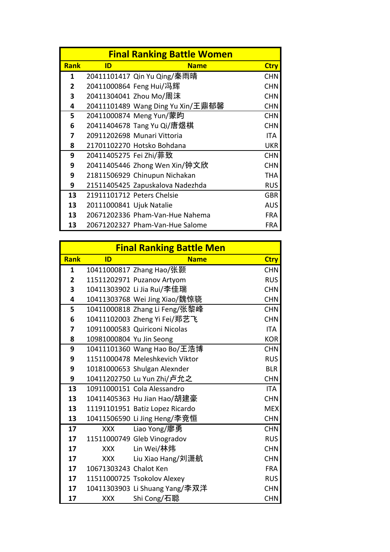| <b>Final Ranking Battle Women</b> |                          |                                   |             |
|-----------------------------------|--------------------------|-----------------------------------|-------------|
| <b>Rank</b>                       | ID                       | <b>Name</b>                       | <b>Ctry</b> |
| 1                                 |                          | 20411101417 Qin Yu Qing/秦雨晴       | <b>CHN</b>  |
| 2                                 |                          | 20411000864 Feng Hui/冯辉           | <b>CHN</b>  |
| 3                                 |                          | 20411304041 Zhou Mo/周沫            | <b>CHN</b>  |
| 4                                 |                          | 20411101489 Wang Ding Yu Xin/王鼎郁馨 | <b>CHN</b>  |
| 5                                 |                          | 20411000874 Meng Yun/蒙昀           | <b>CHN</b>  |
| 6                                 |                          | 20411404678 Tang Yu Qi/唐煜棋        | <b>CHN</b>  |
| 7                                 |                          | 20911202698 Munari Vittoria       | ITA.        |
| 8                                 |                          | 21701102270 Hotsko Bohdana        | <b>UKR</b>  |
| 9                                 | 20411405275 Fei Zhi/菲致   |                                   | <b>CHN</b>  |
| 9                                 |                          | 20411405446 Zhong Wen Xin/钟文欣     | <b>CHN</b>  |
| 9                                 |                          | 21811506929 Chinupun Nichakan     | THA         |
| 9                                 |                          | 21511405425 Zapuskalova Nadezhda  | <b>RUS</b>  |
| 13                                |                          | 21911101712 Peters Chelsie        | <b>GBR</b>  |
| 13                                | 20111000841 Ujuk Natalie |                                   | <b>AUS</b>  |
| 13                                |                          | 20671202336 Pham-Van-Hue Nahema   | <b>FRA</b>  |
| 13                                |                          | 20671202327 Pham-Van-Hue Salome   | FRA         |

|                | <b>Final Ranking Battle Men</b> |                                 |             |  |
|----------------|---------------------------------|---------------------------------|-------------|--|
| <b>Rank</b>    | ID                              | <b>Name</b>                     | <b>Ctry</b> |  |
| $\mathbf{1}$   |                                 | 10411000817 Zhang Hao/张颢        | <b>CHN</b>  |  |
| $\overline{2}$ |                                 | 11511202971 Puzanov Artyom      | <b>RUS</b>  |  |
| 3              |                                 | 10411303902 Li Jia Rui/李佳瑞      | <b>CHN</b>  |  |
| 4              |                                 | 10411303768 Wei Jing Xiao/魏惊骁   | <b>CHN</b>  |  |
| 5              |                                 | 10411000818 Zhang Li Feng/张黎峰   | <b>CHN</b>  |  |
| 6              |                                 | 10411102003 Zheng Yi Fei/郑艺飞    | <b>CHN</b>  |  |
| 7              |                                 | 10911000583 Quiriconi Nicolas   | <b>ITA</b>  |  |
| 8              | 10981000804 Yu Jin Seong        |                                 | <b>KOR</b>  |  |
| 9              |                                 | 10411101360 Wang Hao Bo/王浩博     | <b>CHN</b>  |  |
| 9              |                                 | 11511000478 Meleshkevich Viktor | <b>RUS</b>  |  |
| 9              |                                 | 10181000653 Shulgan Alexnder    | <b>BLR</b>  |  |
| 9              |                                 | 10411202750 Lu Yun Zhi/卢允之      | <b>CHN</b>  |  |
| 13             |                                 | 10911000151 Cola Alessandro     | <b>ITA</b>  |  |
| 13             |                                 | 10411405363 Hu Jian Hao/胡建豪     | <b>CHN</b>  |  |
| 13             |                                 | 11191101951 Batiz Lopez Ricardo | <b>MEX</b>  |  |
| 13             |                                 | 10411506590 Li Jing Heng/李竞恒    | <b>CHN</b>  |  |
| 17             | XXX                             | Liao Yong/廖勇                    | <b>CHN</b>  |  |
| 17             |                                 | 11511000749 Gleb Vinogradov     | <b>RUS</b>  |  |
| 17             | <b>XXX</b>                      | Lin Wei/林炜                      | <b>CHN</b>  |  |
| 17             | <b>XXX</b>                      | Liu Xiao Hang/刘潇航               | <b>CHN</b>  |  |
| 17             | 10671303243 Chalot Ken          |                                 | <b>FRA</b>  |  |
| 17             |                                 | 11511000725 Tsokolov Alexey     | <b>RUS</b>  |  |
| 17             |                                 | 10411303903 Li Shuang Yang/李双洋  | <b>CHN</b>  |  |
| 17             | XXX                             | Shi Cong/石聪                     | <b>CHN</b>  |  |